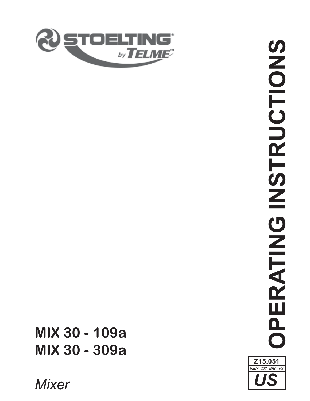

*US*

**MIX 30 - 109a MIX 30 - 309a**

*Mixer*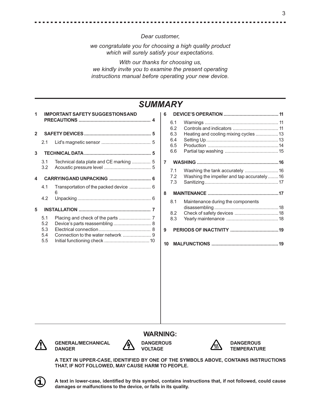### *Dear customer,*

*we congratulate you for choosing a high quality product which will surely satisfy your expectations.*

*With our thanks for choosing us, we kindly invite you to examine the present operating instructions manual before operating your new device.*

# *SUMMARY*

| 1              |                                 | <b>IMPORTANT SAFETY SUGGESTIONSAND</b>      |  |
|----------------|---------------------------------|---------------------------------------------|--|
| $\overline{2}$ |                                 |                                             |  |
|                | 2.1                             |                                             |  |
| 3              |                                 |                                             |  |
|                | 3.1<br>3.2                      | Technical data plate and CE marking  5      |  |
| 4              |                                 |                                             |  |
|                | 4.1                             | Transportation of the packed device  6<br>6 |  |
|                | 4.2                             |                                             |  |
| 5              |                                 |                                             |  |
|                | 5.1<br>5.2<br>5.3<br>5.4<br>5.5 | Device's parts reassembling 8               |  |

| 6               |     |                                           |  |
|-----------------|-----|-------------------------------------------|--|
|                 | 6.1 |                                           |  |
|                 | 6.2 |                                           |  |
|                 | 6.3 | Heating and cooling mixing cycles  13     |  |
|                 | 6.4 |                                           |  |
|                 | 6.5 |                                           |  |
|                 | 6.6 |                                           |  |
| 7               |     |                                           |  |
|                 | 7.1 | Washing the tank accurately  16           |  |
|                 | 7.2 | Washing the impeller and tap accurately16 |  |
|                 | 7.3 |                                           |  |
| 8               |     |                                           |  |
|                 | 8.1 | Maintenance during the components         |  |
|                 |     |                                           |  |
|                 | 8.2 |                                           |  |
|                 | 8.3 |                                           |  |
| 9               |     |                                           |  |
| 10 <sup>°</sup> |     |                                           |  |

### **WARNING:**



**GENERAL/MECHANICAL DANGEROUS DANGEROUS DANGER CELL ANGLES CELL ANGLES COLTAGE COLTAGE COLTA** 



**A TEXT IN UPPER-CASE, IDENTIFIED BY ONE OF THE SYMBOLS ABOVE, CONTAINS INSTRUCTIONS THAT, IF NOT FOLLOWED, MAY CAUSE HARM TO PEOPLE.**



**A text in lower-case, identified by this symbol, contains instructions that, if not followed, could cause damages or malfunctions to the device, or falls in its quality.**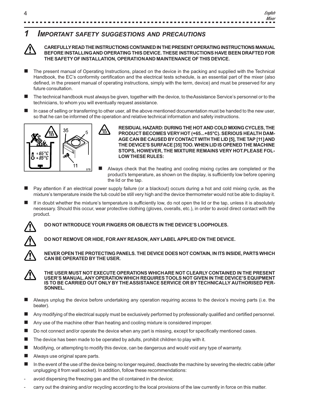# *1 IMPORTANT SAFETY SUGGESTIONS AND PRECAUTIONS*



#### **CAREFULLY READ THE INSTRUCTIONS CONTAINED IN THE PRESENT OPERATING INSTRUCTIONS MANUAL BEFORE INSTALLINGAND OPERATING THIS DEVICE. THESE INSTRUCTIONS HAVE BEEN DRAFTED FOR THE SAFETY OF INSTALLATION, OPERATIONAND MAINTENANCE OF THIS DEVICE.**

- The present manual of Operating Instructions, placed on the device in the packing and supplied with the Technical Handbook, the EC's conformity certification and the electrical tests schedule, is an essential part of the mixer (also defined, in the present manual of operating instructions, simply with the term, device) and must be preserved for any future consultation.
- The technical handbook must always be given, together with the device, to the Assistance Service's personnel or to the technicians, to whom you will eventually request assistance.
- In case of selling or transferring to other user, all the above mentioned documentation must be handed to the new user, so that he can be informed of the operation and relative technical information and safety instructions.



- **RESIDUAL HAZARD: DURING THE HOT AND COLD MIXING CYCLES, THE PRODUCT BECOMES VERY HOT (+65...+85°C). SERIOUS HEALTH DAM-AGE CAN BE CAUSED BY CONTACT WITH THE LID [5], THE TAP [11] AND THE DEVICE'S SURFACE [35] TOO. WHEN LID IS OPENED THE MACHINE STOPS, HOWEVER, THE MIXTURE REMAINS VERY HOT.PLEASE FOL-LOW THESE RULES:**
- Always check that the heating and cooling mixing cycles are completed or the product's temperature, as shown on the display, is sufficiently low before opening the lid or the tap.
- Pay attention if an electrical power supply failure (or a blackout) occurs during a hot and cold mixing cycle, as the mixture's temperature inside the tub could be still very high and the device thermometer would not be able to display it.
- If in doubt whether the mixture's temperature is sufficiently low, do not open the lid or the tap, unless it is absolutely necessary. Should this occur, wear protective clothing (gloves, overalls, etc.), in order to avoid direct contact with the product.



**DO NOT INTRODUCE YOUR FINGERS OR OBJECTS IN THE DEVICE'S LOOPHOLES.**

**DO NOT REMOVE OR HIDE, FOR ANY REASON, ANY LABEL APPLIED ON THE DEVICE.**

**NEVER OPEN THE PROTECTING PANELS. THE DEVICE DOES NOT CONTAIN, IN ITS INSIDE, PARTS WHICH CAN BE OPERATED BY THE USER.**



#### **THE USER MUST NOT EXECUTE OPERATIONS WHICH ARE NOT CLEARLY CONTAINED IN THE PRESENT USER'S MANUAL. ANY OPERATION WHICH REQUIRES TOOLS NOT GIVEN IN THE DEVICE'S EQUIPMENT IS TO BE CARRIED OUT ONLY BY THEASSISTANCE SERVICE OR BY TECHNICALLY AUTHORISED PER-SONNEL.**

- Always unplug the device before undertaking any operation requiring access to the device's moving parts (i.e. the beater).
- Any modifying of the electrical supply must be exclusively performed by professionally qualified and certified personnel.
- **Any use of the machine other than heating and cooling mixture is considered improper.**
- Do not connect and/or operate the device when any part is missing, except for specifically mentioned cases.
- The device has been made to be operated by adults, prohibit children to play with it.
- Modifying, or attempting to modify this device, can be dangerous and would void any type of warranty.
- Always use original spare parts.
- In the event of the use of the device being no longer required, deactivate the machine by severing the electric cable (after unplugging it from wall socket). In addition, follow these recommendations:
- avoid dispersing the freezing gas and the oil contained in the device;
- carry out the draining and/or recycling according to the local provisions of the law currently in force on this matter.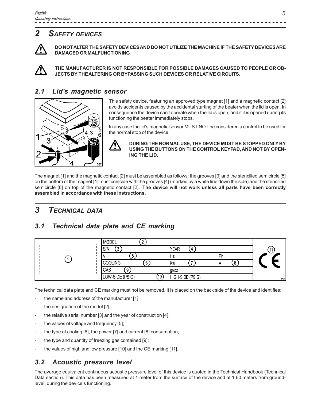# *2 SAFETY DEVICES*



**DO NOT ALTER THE SAFETY DEVICESAND DO NOT UTILIZE THE MACHINE IF THE SAFETY DEVICES ARE DAMAGED OR MALFUNCTIONING.**

**THE MANUFACTURER IS NOT RESPONSIBLE FOR POSSIBLE DAMAGES CAUSED TO PEOPLE OR OB-JECTS BY THE ALTERING OR BYPASSING SUCH DEVICES OR RELATIVE CIRCUITS.**

# *2.1 Lid's magnetic sensor*



This safety device, featuring an approved type magnet [1] and a magnetic contact [2] avoids accidents caused by the accidental starting of the beater when the lid is open. In consequence the device can't operate when the lid is open, and if it is opened during its functioning the beater immediately stops.

In any case the lid's magnetic sensor MUST NOT be considered a control to be used for the normal stop of the device.



**DURING THE NORMAL USE, THE DEVICE MUST BE STOPPED ONLY BY USING THE BUTTONS ON THE CONTROL KEYPAD,AND NOT BY OPEN-ING THE LID.**

The magnet [1] and the magnetic contact [2] must be assembled as follows: the grooves [3] and the stencilled semicircle [5] on the bottom of the magnet [1] must coincide with the grooves [4] (marked by a white line down the side) and the stencilled semicircle [6] on top of the magnetic contact [2]. **The device will not work unless all parts have been correctly assembled in accordance with these instructions.**

# *3 TECHNICAL DATA*

# *3.1 Technical data plate and CE marking*

| <b>MODEL</b>    |                        |     |     |
|-----------------|------------------------|-----|-----|
| S/N             | <b>YEAR</b>            |     |     |
| v               | Hz                     | ארי |     |
| <b>COOLING</b>  | Kw                     |     |     |
| GAS             | gr/oz                  |     |     |
| LOW-SIDE (PSIG) | HIGH-SIDE (PSIG)<br>17 |     | 401 |

The technical data plate and CE marking must not be removed. It is placed on the back side of the device and identifies:

- the name and address of the manufacturer [1];
- the designation of the model [2];
- the relative serial number [3] and the year of construction [4];
- the values of voltage and frequency [5];
- the type of cooling [6], the power [7] and current [8] consumption;
- the type and quantity of freezing gas contained [9];
- the values of high and low pressure [10] and the CE marking [11].

# *3.2 Acoustic pressure level*

The average equivalent continuous acoustic pressure level of this device is quoted in the Technical Handbook (Technical Data section). This data has been measured at 1 meter from the surface of the device and at 1.60 meters from groundlevel, during the device's functioning.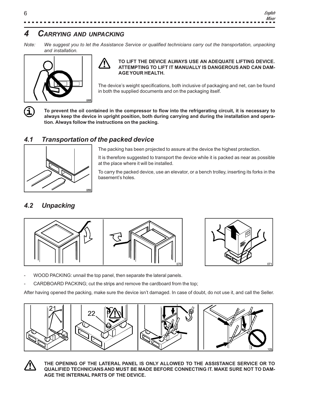# *4 CARRYING AND UNPACKING*

*Note: We suggest you to let the Assistance Service or qualified technicians carry out the transportation, unpacking and installation.*



**TO LIFT THE DEVICE ALWAYS USE AN ADEQUATE LIFTING DEVICE. ATTEMPTING TO LIFT IT MANUALLY IS DANGEROUS AND CAN DAM-AGE YOUR HEALTH.**

The device's weight specifications, both inclusive of packaging and net, can be found in both the supplied documents and on the packaging itself.

i

**To prevent the oil contained in the compressor to flow into the refrigerating circuit, it is necessary to always keep the device in upright position, both during carrying and during the installation and operation. Always follow the instructions on the packing.**

# *4.1 Transportation of the packed device*



The packing has been projected to assure at the device the highest protection.

It is therefore suggested to transport the device while it is packed as near as possible at the place where it will be installed.

To carry the packed device, use an elevator, or a bench trolley, inserting its forks in the basement's holes.

# *4.2 Unpacking*





- WOOD PACKING: unnail the top panel, then separate the lateral panels.
- CARDBOARD PACKING; cut the strips and remove the cardboard from the top;

After having opened the packing, make sure the device isn't damaged. In case of doubt, do not use it, and call the Seller.



**THE OPENING OF THE LATERAL PANEL IS ONLY ALLOWED TO THE ASSISTANCE SERVICE OR TO QUALIFIED TECHNICIANS AND MUST BE MADE BEFORE CONNECTING IT. MAKE SURE NOT TO DAM-AGE THE INTERNAL PARTS OF THE DEVICE.**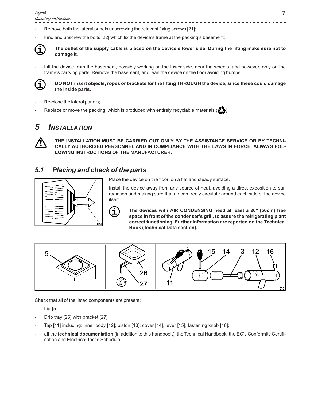- Remove both the lateral panels unscrewing the relevant fixing screws [21];
- Find and unscrew the bolts [22] which fix the device's frame at the packing's basement;



**The outlet of the supply cable is placed on the device's lower side. During the lifting make sure not to damage it.**

Lift the device from the basement, possibly working on the lower side, near the wheels, and however, only on the frame's carrying parts. Remove the basement, and lean the device on the floor avoiding bumps;



**DO NOT insert objects, ropes or brackets for the lifting THROUGH the device, since these could damage the inside parts.**

- Re-close the lateral panels;
- Replace or move the packing, which is produced with entirely recyclable materials  $(\sum)$ .

## *5 INSTALLATION*



**THE INSTALLATION MUST BE CARRIED OUT ONLY BY THE ASSISTANCE SERVICE OR BY TECHNI-CALLY AUTHORISED PERSONNEL AND IN COMPLIANCE WITH THE LAWS IN FORCE, ALWAYS FOL-LOWING INSTRUCTIONS OF THE MANUFACTURER.**

### *5.1 Placing and check of the parts*

 $\mathbf i$ 



Place the device on the floor, on a flat and steady surface.

Install the device away from any source of heat, avoiding a direct exposition to sun radiation and making sure that air can freely circulate around each side of the device itself.

**The devices with AIR CONDENSING need at least a 20'' (50cm) free space in front of the condenser's grill, to assure the refrigerating plant correct functioning. Further information are reported on the Technical Book (Technical Data section).**



Check that all of the listed components are present:

- Lid [5];
- Drip tray [26] with bracket [27];
- Tap [11] including: inner body [12]; piston [13]; cover [14], lever [15]; fastening knob [16];
- all the **technical documentation** (in addition to this handbook): the Technical Handbook, the EC's Conformity Certification and Electrical Test's Schedule.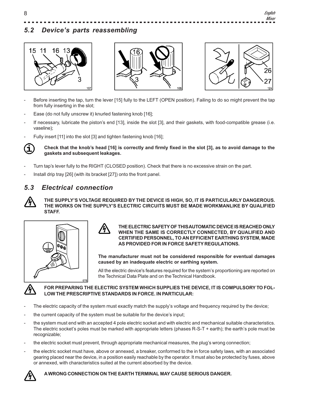26

27

 $12<sup>4</sup>$ 

# *5.2 Device's parts reassembling*



- Before inserting the tap, turn the lever [15] fully to the LEFT (OPEN position). Failing to do so might prevent the tap from fully inserting in the slot;
- Ease (do not fully unscrew it) knurled fastening knob [16];
- If necessary, lubricate the piston's end [13], inside the slot [3], and their gaskets, with food-compatible grease (i.e. vaseline);
- Fully insert [11] into the slot [3] and tighten fastening knob [16];

**Check that the knob's head [16] is correctly and firmly fixed in the slot [3], as to avoid damage to the gaskets and subsequent leakages.**

- Turn tap's lever fully to the RIGHT (CLOSED position). Check that there is no excessive strain on the part.
- Install drip tray [26] (with its bracket [27]) onto the front panel.

# *5.3 Electrical connection*



**THE SUPPLY'S VOLTAGE REQUIRED BY THE DEVICE IS HIGH, SO, IT IS PARTICULARLY DANGEROUS. THE WORKS ON THE SUPPLY'S ELECTRIC CIRCUITS MUST BE MADE WORKMANLIKE BY QUALIFIED STAFF.**



**THE ELECTRIC SAFETY OF THIS AUTOMATIC DEVICE IS REACHED ONLY WHEN THE SAME IS CORRECTLY CONNECTED, BY QUALIFIED AND CERTIFIED PERSONNEL, TO AN EFFICIENT EARTHING SYSTEM, MADE AS PROVIDED FOR IN FORCE SAFETY REGULATIONS.**

**The manufacturer must not be considered responsible for eventual damages caused by an inadequate electric or earthing system.**

All the electric device's features required for the system's proportioning are reported on the Technical Data Plate and on the Technical Handbook.

**FOR PREPARING THE ELECTRIC SYSTEM WHICH SUPPLIES THE DEVICE, IT IS COMPULSORY TO FOL-LOW THE PRESCRIPTIVE STANDARDS IN FORCE. IN PARTICULAR:**

- The electric capacity of the system must exactly match the supply's voltage and frequency required by the device;
- the current capacity of the system must be suitable for the device's input;
- the system must end with an accepted 4 pole electric socket and with electric and mechanical suitable characteristics. The electric socket's poles must be marked with appropriate letters (phases R-S-T + earth); the earth's pole must be recognizable;
- the electric socket must prevent, through appropriate mechanical measures, the plug's wrong connection;
- the electric socket must have, above or annexed, a breaker, conformed to the in force safety laws, with an associated gearing placed near the device, in a position easily reachable by the operator. It must also be protected by fuses, above or annexed, with characteristics suited at the current absorbed by the device.

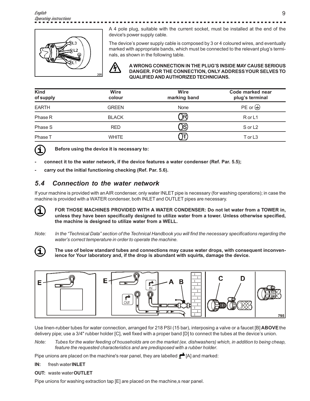

A 4 pole plug, suitable with the current socket, must be installed at the end of the device's power supply cable.

The device's power supply cable is composed by 3 or 4 coloured wires, and eventually marked with appropriate bands, which must be connected to the relevant plug's terminals, as shown in the following table.



**A WRONG CONNECTION IN THE PLUG'S INSIDE MAY CAUSE SERIOUS DANGER. FOR THE CONNECTION, ONLY ADDRESSYOUR SELVES TO QUALIFIED AND AUTHORIZED TECHNICIANS.**

| <b>Kind</b><br>of supply | Wire<br>colour | Wire<br>marking band | Code marked near<br>plug's terminal |
|--------------------------|----------------|----------------------|-------------------------------------|
| <b>EARTH</b>             | <b>GREEN</b>   | None                 | PE or $\bigoplus$                   |
| Phase R                  | <b>BLACK</b>   | )R                   | R or L1                             |
| Phase S                  | <b>RED</b>     | JS,                  | S or L <sub>2</sub>                 |
| Phase T                  | <b>WHITE</b>   |                      | T or L <sub>3</sub>                 |



**Before using the device it is necessary to:**

- **connect it to the water network, if the device features a water condenser (Ref. Par. 5.5);**
- carry out the initial functioning checking (Ref. Par. 5.6).

## *5.4 Connection to the water network*

If your machine is provided with an AIR condenser, only water INLET pipe is necessary (for washing operations); in case the machine is provided with a WATER condenser, both INLET and OUTLET pipes are necessary.



**FOR THOSE MACHINES PROVIDED WITH A WATER CONDENSER: Do not let water from a TOWER in, unless they have been specifically designed to utilize water from a tower. Unless otherwise specified, the machine is designed to utilize water from a WELL.**



i

*Note: In the "Technical Data" section of the Technical Handbook you will find the necessary specifications regarding the water's correct temperature in order to operate the machine.*

**The use of below standard tubes and connections may cause water drops, with consequent inconvenience for Your laboratory and, if the drop is abundant with squirts, damage the device.**



Use linen-rubber tubes for water connection, arranged for 218 PSI (15 bar), interposing a valve or a faucet [B] **ABOVE**the delivery pipe; use a 3/4" rubber holder [C], well fixed with a proper band [D] to connect the tubes at the device's union.

*Note: Tubes for the water feeding of households are on the market (ex. dishwashers) which, in addition to being cheap, feature the requested characteristics and are predisposed with a rubber holder.*

Pipe unions are placed on the machine's rear panel, they are labelled  $\blacksquare$  [A] and marked:

#### **IN:** fresh water **INLET**

#### **OUT:** waste water **OUTLET**

Pipe unions for washing extraction tap [E] are placed on the machine,s rear panel.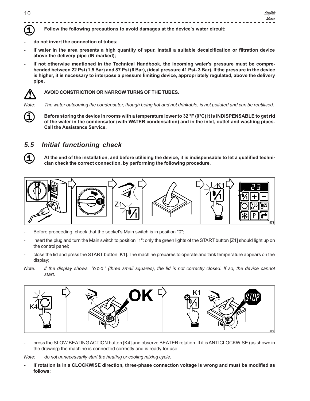**Follow the following precautions to avoid damages at the device's water circuit:**

- **do not invert the connection of tubes;**
- **if water in the area presents a high quantity of spur, install a suitable decalcification or filtration device above the delivery pipe (IN marked);**
- **if not otherwise mentioned in the Technical Handbook, the incoming water's pressure must be comprehended between 22 Psi (1,5 Bar) and 87 Psi (6 Bar), (ideal pressure 41 Psi- 3 Bar). If the pressure in the device is higher, it is necessary to interpose a pressure limiting device, appropriately regulated, above the delivery pipe.**



i

### **AVOID CONSTRICTION OR NARROW TURNS OF THE TUBES.**

*Note: The water outcoming the condensator, though being hot and not drinkable, is not polluted and can be reutilised.*

**Before storing the device in rooms with a temperature lower to 32 °F (0°C) it is INDISPENSABLE to get rid of the water in the condensator (with WATER condensation) and in the inlet, outlet and washing pipes. Call the Assistance Service.**

### *5.5 Initial functioning check*



**At the end of the installation, and before utilising the device, it is indispensable to let a qualified technician check the correct connection, by performing the following procedure.**



- Before proceeding, check that the socket's Main switch is in position "0";
- insert the plug and turn the Main switch to position "1": only the green lights of the START button [Z1] should light up on the control panel;
- close the lid and press the START button [K1]. The machine prepares to operate and tank temperature appears on the display;
- *Note: if the display shows "*ooo*" (three small squares), the lid is not correctly closed. If so, the device cannot start.*



press the SLOW BEATING ACTION button [K4] and observe BEATER rotation. If it is ANTICLOCKWISE (as shown in the drawing) the machine is connected correctly and is ready for use;

*Note: do not unnecessarily start the heating or cooling mixing cycle.*

**- if rotation is in a CLOCKWISE direction, three-phase connection voltage is wrong and must be modified as follows:**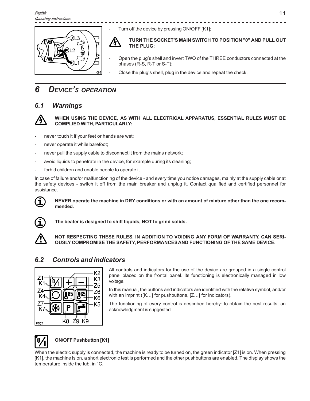*English Operating instructions*



Turn off the device by pressing ON/OFF [K1];



- Open the plug's shell and invert TWO of the THREE conductors connected at the phases (R-S, R-T or S-T);
- Close the plug's shell, plug in the device and repeat the check.

# *6 DEVICE'S OPERATION*

### *6.1 Warnings*



#### **WHEN USING THE DEVICE, AS WITH ALL ELECTRICAL APPARATUS, ESSENTIAL RULES MUST BE COMPLIED WITH, PARTICULARLY:**

- never touch it if your feet or hands are wet;
- never operate it while barefoot;
- never pull the supply cable to disconnect it from the mains network;
- avoid liquids to penetrate in the device, for example during its cleaning;
- forbid children and unable people to operate it.

In case of failure and/or malfunctioning of the device - and every time you notice damages, mainly at the supply cable or at the safety devices - switch it off from the main breaker and unplug it. Contact qualified and certified personnel for assistance.



**NEVER operate the machine in DRY conditions or with an amount of mixture other than the one recommended.**



**The beater is designed to shift liquids, NOT to grind solids.**



**NOT RESPECTING THESE RULES, IN ADDITION TO VOIDING ANY FORM OF WARRANTY, CAN SERI-OUSLY COMPROMISE THE SAFETY, PERFORMANCES AND FUNCTIONING OF THE SAME DEVICE.**

## *6.2 Controls and indicators*



All controls and indicators for the use of the device are grouped in a single control panel placed on the frontal panel. Its functioning is electronically managed in low voltage.

In this manual, the buttons and indicators are identified with the relative symbol, and/or with an imprint ([K...] for pushbuttons, [Z...] for indicators).

The functioning of every control is described hereby: to obtain the best results, an acknowledgment is suggested.



### **ON/OFF Pushbutton [K1]**

When the electric supply is connected, the machine is ready to be turned on, the green indicator [Z1] is on. When pressing [K1], the machine is on, a short electronic test is performed and the other pushbuttons are enabled. The display shows the temperature inside the tub, in °C.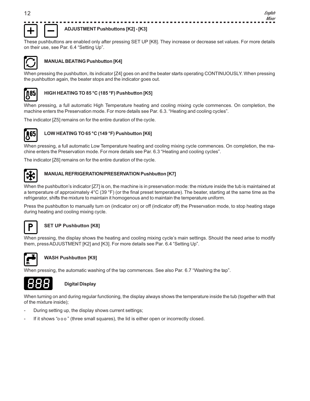

### **ADJUSTMENT Pushbuttons [K2] - [K3]**

These pushbuttons are enabled only after pressing SET UP [K8]. They increase or decrease set values. For more details on their use, see Par. 6.4 "Setting Up".

*English Mixer*



### **MANUAL BEATING Pushbutton [K4]**

When pressing the pushbutton, its indicator [Z4] goes on and the beater starts operating CONTINUOUSLY. When pressing the pushbutton again, the beater stops and the indicator goes out.



### **HIGH HEATING TO 85 °C (185 °F) Pushbutton [K5]**

When pressing, a full automatic High Temperature heating and cooling mixing cycle commences. On completion, the machine enters the Preservation mode. For more details see Par. 6.3. "Heating and cooling cycles".

The indicator [Z5] remains on for the entire duration of the cycle.



### **LOW HEATING TO 65 °C (149 °F) Pushbutton [K6]**

When pressing, a full automatic Low Temperature heating and cooling mixing cycle commences. On completion, the machine enters the Preservation mode. For more details see Par. 6.3 "Heating and cooling cycles".

The indicator [Z6] remains on for the entire duration of the cycle.



### **MANUAL REFRIGERATION/PRESERVATION Pushbutton [K7]**

When the pushbutton's indicator [Z7] is on, the machine is in preservation mode: the mixture inside the tub is maintained at a temperature of approximately 4°C (39 °F) (or the final preset temperature). The beater, starting at the same time as the refrigerator, shifts the mixture to maintain it homogenous and to maintain the temperature uniform.

Press the pushbutton to manually turn on (indicator on) or off (indicator off) the Preservation mode, to stop heating stage during heating and cooling mixing cycle.



### **SET UP Pushbutton [K8]**

When pressing, the display shows the heating and cooling mixing cycle's main settings. Should the need arise to modify them, press ADJUSTMENT [K2] and [K3]. For more details see Par. 6.4 "Setting Up".



### **WASH Pushbutton [K9]**

When pressing, the automatic washing of the tap commences. See also Par. 6.7 "Washing the tap".



### **Digital Display**

When turning on and during regular functioning, the display always shows the temperature inside the tub (together with that of the mixture inside);

- During setting up, the display shows current settings;
- If it shows " $\infty$ " (three small squares), the lid is either open or incorrectly closed.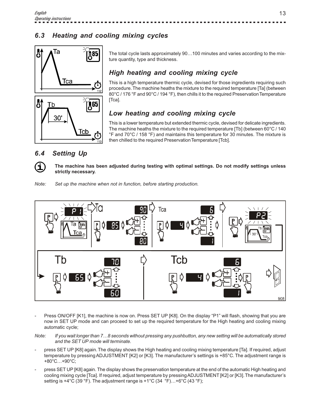# *6.3 Heating and cooling mixing cycles*



The total cycle lasts approximately 90…100 minutes and varies according to the mixture quantity, type and thickness.

# *High heating and cooling mixing cycle*

This is a high temperature thermic cycle, devised for those ingredients requiring such procedure.The machine heaths the mixture to the required temperature [Ta] (between 80°C / 176 °F and 90°C / 194 °F), then chills it to the required Preservation Temperature [Tca].

# *Low heating and cooling mixing cycle*

This is a lower temperature but extended thermic cycle, devised for delicate ingredients. The machine heaths the mixture to the required temperature [Tb] (between 60°C / 140 °F and 70°C / 158 °F) and maintains this temperature for 30 minutes. The mixture is then chilled to the required Preservation Temperature [Tcb].

# *6.4 Setting Up*



**The machine has been adjusted during testing with optimal settings. Do not modify settings unless strictly necessary.**

*Note: Set up the machine when not in function, before starting production.*



Press ON/OFF [K1], the machine is now on. Press SET UP [K8]. On the display "P1" will flash, showing that you are now in SET UP mode and can proceed to set up the required temperature for the High heating and cooling mixing automatic cycle;

*Note: If you wait longer than 7…8 seconds without pressing any pushbutton, any new setting will be automatically stored and the SET UP mode will terminate.*

- press SET UP [K8] again. The display shows the High heating and cooling mixing temperature [Ta]. If required, adjust temperature by pressing ADJUSTMENT [K2] or [K3]. The manufacturer's settings is +85°C. The adjustment range is +80°C…+90°C;
- press SET UP [K8] again. The display shows the preservation temperature at the end of the automatic High heating and cooling mixing cycle [Tca]. If required, adjust temperature by pressing ADJUSTMENT [K2] or [K3]. The manufacturer's setting is +4°C (39 °F). The adjustment range is +1°C (34 °F)...+6°C (43 °F);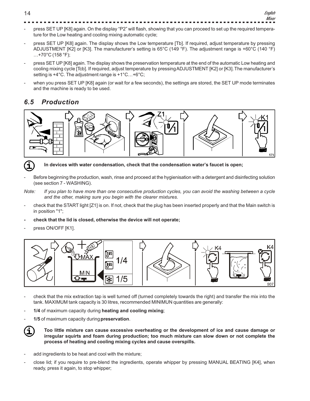14

- press SET UP [K8] again. On the display "P2" will flash, showing that you can proceed to set up the required temperature for the Low heating and cooling mixing automatic cycle;
- press SET UP [K8] again. The display shows the Low temperature [Tb]. If required, adjust temperature by pressing ADJUSTMENT [K2] or [K3]. The manufacturer's setting is 65°C (149 °F). The adjustment range is +60°C (140 °F)  $...$ +70°C (158 °F);
- press SET UP [K8] again. The display shows the preservation temperature at the end of the automatic Low heating and cooling mixing cycle [Tcb]. If required, adjust temperature by pressing ADJUSTMENT [K2] or [K3]. The manufacturer's setting is +4°C. The adjustment range is +1°C…+6°C;
- when you press SET UP [K8] again (or wait for a few seconds), the settings are stored, the SET UP mode terminates and the machine is ready to be used.

# *6.5 Production*





**In devices with water condensation, check that the condensation water's faucet is open;**

- Before beginning the production, wash, rinse and proceed at the hygienisation with a detergent and disinfecting solution (see section 7 - WASHING).
- *Note: If you plan to have more than one consecutive production cycles, you can avoid the washing between a cycle and the other, making sure you begin with the clearer mixtures.*
- check that the START light [Z1] is on. If not, check that the plug has been inserted properly and that the Main switch is in position "1";
- **check that the lid is closed, otherwise the device will not operate;**
- press ON/OFF [K1].



- check that the mix extraction tap is well turned off (turned completely towards the right) and transfer the mix into the tank. MAXIMUM tank capacity is 30 litres, recommended MINIMUN quantities are generally:
- **1/4** of maximum capacity during **heating and cooling mixing**;
- **1/5** of maximum capacity during **preservation**.



**Too little mixture can cause excessive overheating or the development of ice and cause damage or irregular squirts and foam during production; too much mixture can slow down or not complete the process of heating and cooling mixing cycles and cause overspills.**

- add ingredients to be heat and cool with the mixture;
- close lid; if you require to pre-blend the ingredients, operate whipper by pressing MANUAL BEATING [K4], when ready, press it again, to stop whipper;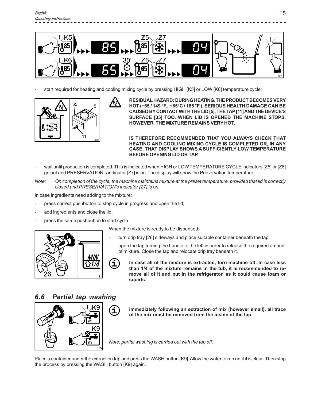

start required for heating and cooling mixing cycle by pressing HIGH [K5] or LOW [K6] temperature cycle;



**RESIDUAL HAZARD: DURING HEATING, THE PRODUCT BECOMES VERY HOT (+65 / 149 °F...+85°C / 185 °F ). SERIOUS HEALTH DAMAGE CAN BE CAUSED BY CONTACT WITH THE LID [5], THE TAP [11] AND THE DEVICE'S SURFACE [35] TOO. WHEN LID IS OPENED THE MACHINE STOPS, HOWEVER, THE MIXTURE REMAINS VERY HOT.**

**IS THEREFORE RECOMMENDED THAT YOU ALWAYS CHECK THAT HEATING AND COOLING MIXING CYCLE IS COMPLETED OR, IN ANY CASE, THAT DISPLAY SHOWS A SUFFICIENTLY LOW TEMPERATURE BEFORE OPENING LID OR TAP.**

- wait until production is completed. This is indicated when HIGH or LOW TEMPERATURE CYCLE indicators [Z5] or [Z6] go out and PRESERVATION's indicator [Z7] is on. The display will show the Preservation temperature.
- *Note: On completion of the cycle, the machine maintains mixture at the preset temperature, provided that lid is correctly closed and PRESERVATION's indicator [Z7] is on.*

In case ingredients need adding to the mixture:

- press correct pushbutton to stop cycle in progress and open the lid;
- add ingredients and close the lid;
- press the same pushbutton to start cycle.



When the mixture is ready to be dispensed:

- turn drip tray [26] sideways and place suitable container beneath the tap;
- open the tap turning the handle to the left in order to release the required amount of mixture. Close the tap and relocate drip tray beneath it.

**In case all of the mixture is extracted, turn machine off. In case less than 1/4 of the mixture remains in the tub, it is recommended to remove all of it and put in the refrigerator, as it could cause foam or squirts.**

## *6.6 Partial tap washing*



**Immediately following an extraction of mix (however small), all trace of the mix must be removed from the inside of the tap.**

*Note: partial washing is carried out with the tap off.*

Place a container under the extraction tap and press the WASH button [K9]. Allow the water to run until it is clear. Then stop the process by pressing the WASH button [K9] again.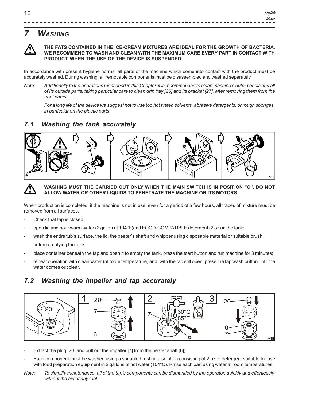# *7 WASHING*



**THE FATS CONTAINED IN THE ICE-CREAM MIXTURES ARE IDEAL FOR THE GROWTH OF BACTERIA, WE RECOMMEND TO WASH AND CLEAN WITH THE MAXIMUM CARE EVERY PART IN CONTACT WITH PRODUCT, WHEN THE USE OF THE DEVICE IS SUSPENDED.**

In accordance with present hygiene norms, all parts of the machine which come into contact with the product must be accurately washed. During washing, all removable components must be disassembled and washed separately.

*Note: Additionally to the operations mentioned in this Chapter, it is recommended to clean machine's outer panels and all of its outside parts, taking particular care to clean drip tray [26] and its bracket [27], after removing them from the front panel.*

*For a long life of the device we suggest not to use too hot water, solvents, abrasive detergents, or rough sponges, in particular on the plastic parts.*

# *7.1 Washing the tank accurately*





**WASHING MUST THE CARRIED OUT ONLY WHEN THE MAIN SWITCH IS IN POSITION "O". DO NOT ALLOW WATER OR OTHER LIQUIDS TO PENETRATE THE MACHINE OR ITS MOTORS**

When production is completed, if the machine is not in use, even for a period of a few hours, all traces of mixture must be removed from all surfaces.

- Check that tap is closed;
- open lid and pour warm water (2 gallon at 104°F)and FOOD-COMPATIBLE detergent (2 oz) in the tank;
- wash the entire tub's surface, the lid, the beater's shaft and whipper using disposable material or suitable brush;
- before emptying the tank
- place container beneath the tap and open it to empty the tank, press the start button and run machine for 3 minutes;
- repeat operation with clean water (at room temperature) and, with the tap still open, press the tap wash button until the water comes out clear.

## *7.2 Washing the impeller and tap accurately*



- Extract the plug [20] and pull out the impeller [7] from the beater shaft [6];
- Each component must be washed using a suitable brush in a solution consisting of 2 oz of detergent suitable for use with food preparation equipment in 2 gallons of hot water (104°C). Rinse each part using water at room temperatures.
- *Note: To simplify maintenance, all of the tap's components can be dismantled by the operator, quickly and effortlessly, without the aid of any tool.*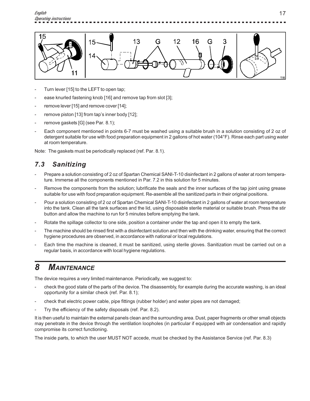

- Turn lever [15] to the LEFT to open tap;
- ease knurled fastening knob [16] and remove tap from slot [3];
- remove lever [15] and remove cover [14];
- remove piston [13] from tap's inner body [12];
- remove gaskets [G] (see Par. 8.1);
- Each component mentioned in points 6-7 must be washed using a suitable brush in a solution consisting of 2 oz of detergent suitable for use with food preparation equipment in 2 gallons of hot water (104°F). Rinse each part using water at room temperature.

Note: The gaskets must be periodically replaced (ref. Par. 8.1).

# *7.3 Sanitizing*

- Prepare a solution consisting of 2 oz of Spartan Chemical SANI-T-10 disinfectant in 2 gallons of water at room temperature. Immerse all the components mentioned in Par. 7.2 in this solution for 5 minutes.
- Remove the components from the solution; lubrificate the seals and the inner surfaces of the tap joint using grease suitable for use with food preparation equipment. Re-asemble all the sanitized parts in their original positions.
- Pour a solution consisting of 2 oz of Spartan Chemical SANI-T-10 disinfectant in 2 gallons of water at room temperature into the tank. Clean all the tank surfaces and the lid, using disposable sterile material or suitable brush. Press the stir button and allow the machine to run for 5 minutes before emptying the tank.
- Rotate the spillage collector to one side, position a container under the tap and open it to empty the tank.
- The machine should be rinsed first with a disinfectant solution and then with the drinking water, ensuring that the correct hygiene procedures are observed, in accordance with national or local regulations.
- Each time the machine is cleaned, it must be sanitized, using sterile gloves. Sanitization must be carried out on a regular basis, in accordance with local hygiene regulations.

# *8 MAINTENANCE*

The device requires a very limited maintenance. Periodically, we suggest to:

- check the good state of the parts of the device. The disassembly, for example during the accurate washing, is an ideal opportunity for a similar check (ref. Par. 8.1);
- check that electric power cable, pipe fittings (rubber holder) and water pipes are not damaged;
- Try the efficiency of the safety disposals (ref. Par. 8.2).

It is then useful to maintain the external panels clean and the surrounding area. Dust, paper fragments or other small objects may penetrate in the device through the ventilation loopholes (in particular if equipped with air condensation and rapidly compromise its correct functioning.

The inside parts, to which the user MUST NOT accede, must be checked by the Assistance Service (ref. Par. 8.3)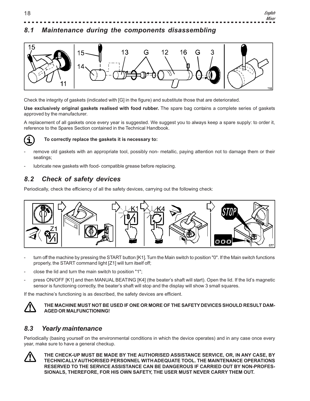## *8.1 Maintenance during the components disassembling*



Check the integrity of gaskets (indicated with [G] in the figure) and substitute those that are deteriorated.

**Use exclusively original gaskets realised with food rubber.** The spare bag contains a complete series of gaskets approved by the manufacturer.

A replacement of all gaskets once every year is suggested. We suggest you to always keep a spare supply: to order it, reference to the Spares Section contained in the Technical Handbook.



### **To correctly replace the gaskets it is necessary to:**

- remove old gaskets with an appropriate tool, possibly non- metallic, paying attention not to damage them or their seatings;
- lubricate new gaskets with food- compatible grease before replacing.

# *8.2 Check of safety devices*

Periodically, check the efficiency of all the safety devices, carrying out the following check:



- turn off the machine by pressing the START button [K1]. Turn the Main switch to position "0". If the Main switch functions properly, the START command light [Z1] will turn itself off;
- close the lid and turn the main switch to position "1";
- press ON/OFF [K1] and then MANUAL BEATING [K4] (the beater's shaft will start). Open the lid. If the lid's magnetic sensor is functioning correctly, the beater's shaft will stop and the display will show 3 small squares.

If the machine's functioning is as described, the safety devices are efficient.



### **THE MACHINE MUST NOT BE USED IF ONE OR MORE OF THE SAFETY DEVICES SHOULD RESULT DAM-AGED OR MALFUNCTIONING!**

### *8.3 Yearly maintenance*

Periodically (basing yourself on the environmental conditions in which the device operates) and in any case once every year, make sure to have a general checkup.



**THE CHECK-UP MUST BE MADE BY THE AUTHORISED ASSISTANCE SERVICE, OR, IN ANY CASE, BY TECHNICALLY AUTHORISED PERSONNEL WITH ADEQUATE TOOL. THE MAINTENANCE OPERATIONS RESERVED TO THE SERVICE ASSISTANCE CAN BE DANGEROUS IF CARRIED OUT BY NON-PROFES-SIONALS, THEREFORE, FOR HIS OWN SAFETY, THE USER MUST NEVER CARRY THEM OUT.**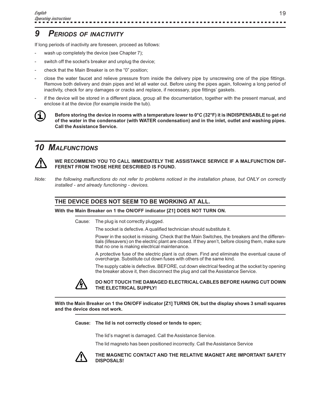# *9 PERIODS OF INACTIVITY*

If long periods of inactivity are foreseen, proceed as follows:

- wash up completely the device (see Chapter 7);
- switch off the socket's breaker and unplug the device;
- check that the Main Breaker is on the "0" position;
- close the water faucet and relieve pressure from inside the delivery pipe by unscrewing one of the pipe fittings. Remove both delivery and drain pipes and let all water out. Before using the pipes again, following a long period of inactivity, check for any damages or cracks and replace, if necessary, pipe fittings' gaskets.
- if the device will be stored in a different place, group all the documentation, together with the present manual, and enclose it at the device (for example inside the tub).



**Before storing the device in rooms with a temperature lower to 0°C (32°F) it is INDISPENSABLE to get rid of the water in the condensator (with WATER condensation) and in the inlet, outlet and washing pipes. Call the Assistance Service.**

# *10 MALFUNCTIONS*

**WE RECOMMEND YOU TO CALL IMMEDIATELY THE ASSISTANCE SERVICE IF A MALFUNCTION DIF-FERENT FROM THOSE HERE DESCRIBED IS FOUND.**

*Note: the following malfunctions do not refer to problems noticed in the installation phase, but ONLY on correctly installed - and already functioning - devices.*

### **THE DEVICE DOES NOT SEEM TO BE WORKING AT ALL.**

**With the Main Breaker on 1 the ON/OFF indicator [Z1] DOES NOT TURN ON.**

Cause: The plug is not correctly plugged.

The socket is defective. A qualified technician should substitute it.

Power in the socket is missing. Check that the Main Switches, the breakers and the differentials (lifesavers) on the electric plant are closed. If they aren't, before closing them, make sure that no one is making electrical maintenance.

A protective fuse of the electric plant is cut down. Find and eliminate the eventual cause of overcharge. Substitute cut down fuses with others of the same kind.

The supply cable is defective. BEFORE, cut down electrical feeding at the socket by opening the breaker above it, then disconnect the plug and call the Assistance Service.



#### **DO NOT TOUCH THE DAMAGED ELECTRICAL CABLES BEFORE HAVING CUT DOWN THE ELECTRICAL SUPPLY!**

**With the Main Breaker on 1 the ON/OFF indicator [Z1] TURNS ON, but the display shows 3 small squares and the device does not work.**

#### **Cause: The lid is not correctly closed or tends to open;**

The lid's magnet is damaged. Call the Assistance Service.

The lid magneto has been positioned incorrectly. Call the Assistance Service



#### **THE MAGNETIC CONTACT AND THE RELATIVE MAGNET ARE IMPORTANT SAFETY DISPOSALS!**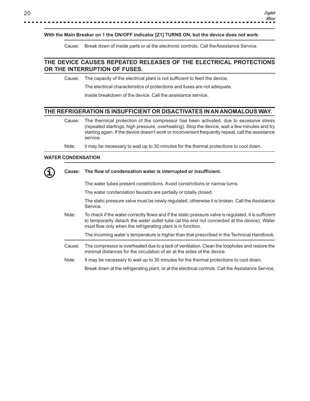#### **With the Main Breaker on 1 the ON/OFF indicator [Z1] TURNS ON, but the device does not work.**

Cause: Break down of inside parts or at the electronic controls. Call the Assistance Service.

### **THE DEVICE CAUSES REPEATED RELEASES OF THE ELECTRICAL PROTECTIONS OR THE INTERRUPTION OF FUSES.**

Cause: The capacity of the electrical plant is not sufficient to feed the device.

The electrical characteristics of protections and fuses are not adequate.

Inside breakdown of the device. Call the assistance service.

### **THE REFRIGERATION IS INSUFFICIENT OR DISACTIVATES IN AN ANOMALOUS WAY.**

- Cause: The thermical protection of the compressor has been activated, due to excessive stress (repeated startings, high pressure, overheating). Stop the device, wait a few minutes and try starting again. If the device doesn't work or inconvenient frequently repeat, call the assistance service.
- Note: it may be necessary to wait up to 30 minutes for the thermal protections to cool down.

#### **WATER CONDENSATION**

| Cause: The flow of condensation water is interrupted or insufficient. |  |
|-----------------------------------------------------------------------|--|
|                                                                       |  |

The water tubes present constrictions. Avoid constrictions or narrow turns.

The water condensation faucet/s are partially or totally closed.

The static pressure valve must be newly regulated, otherwise it is broken. Call the Assistance Service.

Note: To check if the water correctly flows and if the static pressure valve is regulated, it is sufficient to temporarily detach the water outlet tube (at the end not connected at the device). Water must flow only when the refrigerating plant is in function.

The incoming water's temperature is higher than that prescribed in the Technical Handbook.

- Cause: The compressor is overheated due to a lack of ventilation. Clean the loopholes and restore the minimal distances for the circulation of air at the sides of the device.
- Note: It may be necessary to wait up to 30 minutes for the thermal protections to cool down.

Break down at the refrigerating plant, or at the electrical controls. Call the Assistance Service.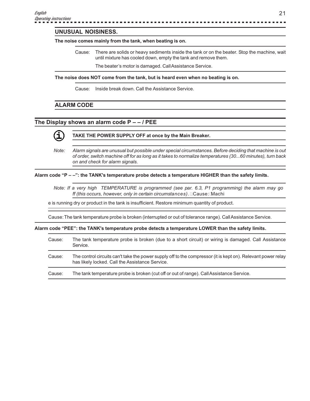#### **UNUSUAL NOISINESS.**

#### **The noise comes mainly from the tank, when beating is on.**

Cause: There are solids or heavy sediments inside the tank or on the beater. Stop the machine, wait until mixture has cooled down, empty the tank and remove them.

-------------------------

The beater's motor is damaged. Call Assistance Service.

#### **The noise does NOT come from the tank, but is heard even when no beating is on.**

Cause: Inside break down. Call the Assistance Service.

### **ALARM CODE**

### **The Display shows an alarm code P – – / PEE**

**TAKE THE POWER SUPPLY OFF at once by the Main Breaker.**

*Note: Alarm signals are unusual but possible under special circumstances. Before deciding that machine is out of order, switch machine off for as long as it takes to normalize temperatures (30...60 minutes), turn back on and check for alarm signals.*

#### **Alarm code "P – –": the TANK's temperature probe detects a temperature HIGHER than the safety limits.**

*Note: If a very high TEMPERATURE is programmed (see par. 6.3, P1 programming) the alarm may go ff (this occurs, however, only in certain circumstances).*Cause:Machi

e is running dry or product in the tank is insufficient. Restore minimum quantity of product.

Cause:The tank temperature probe is broken (interrupted or out of tolerance range). Call Assistance Service.

#### **Alarm code "PEE": the TANK's temperature probe detects a temperature LOWER than the safety limits.**

| Cause: | The tank temperature probe is broken (due to a short circuit) or wiring is damaged. Call Assistance |
|--------|-----------------------------------------------------------------------------------------------------|
|        | Service.                                                                                            |
|        |                                                                                                     |

Cause: The control circuits can't take the power supply off to the compressor (it is kept on). Relevant power relay has likely locked. Call the Assistance Service.

| Cause: | The tank temperature probe is broken (cut off or out of range). Call Assistance Service. |  |
|--------|------------------------------------------------------------------------------------------|--|
|        |                                                                                          |  |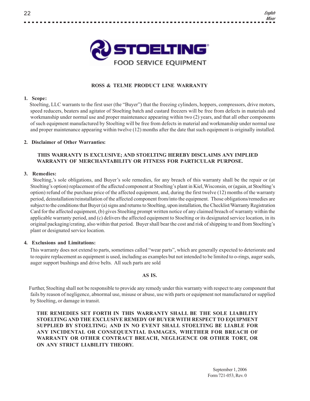

### **ROSS & TELME PRODUCT LINE WARRANTY**

#### **1. Scope:**

 Stoelting, LLC warrants to the first user (the "Buyer") that the freezing cylinders, hoppers, compressors, drive motors, speed reducers, beaters and agitator of Stoelting batch and custard freezers will be free from defects in materials and workmanship under normal use and proper maintenance appearing within two (2) years, and that all other components of such equipment manufactured by Stoelting will be free from defects in material and workmanship under normal use and proper maintenance appearing within twelve (12) months after the date that such equipment is originally installed.

#### **2. Disclaimer of Other Warranties:**

### **THIS WARRANTY IS EXCLUSIVE; AND STOELTING HEREBY DISCLAIMS ANY IMPLIED WARRANTY OF MERCHANTABILITY OR FITNESS FOR PARTICULAR PURPOSE.**

#### **3. Remedies:**

Stoelting,'s sole obligations, and Buyer's sole remedies, for any breach of this warranty shall be the repair or (at Stoelting's option) replacement of the affected component at Stoelting's plant in Kiel, Wisconsin, or (again, at Stoelting's option) refund of the purchase price of the affected equipment, and, during the first twelve (12) months of the warranty period, deinstallation/reinstallation of the affected component from/into the equipment. Those obligations/remedies are subject to the conditions that Buyer (a) signs and returns to Stoelting, upon installation, the Checklist/Warranty Registration Card for the affected equipment, (b) gives Stoelting prompt written notice of any claimed breach of warranty within the applicable warranty period, and (c) delivers the affected equipment to Stoelting or its designated service location, in its original packaging/crating, also within that period. Buyer shall bear the cost and risk of shipping to and from Stoelting's plant or designated service location.

#### **4. Exclusions and Limitations:**

This warranty does not extend to parts, sometimes called "wear parts", which are generally expected to deteriorate and to require replacement as equipment is used, including as examples but not intended to be limited to o-rings, auger seals, auger support bushings and drive belts. All such parts are sold

#### **AS IS.**

Further, Stoelting shall not be responsible to provide any remedy under this warranty with respect to any component that fails by reason of negligence, abnormal use, misuse or abuse, use with parts or equipment not manufactured or supplied by Stoelting, or damage in transit.

 **THE REMEDIES SET FORTH IN THIS WARRANTY SHALL BE THE SOLE LIABILITY STOELTING AND THE EXCLUSIVE REMEDY OF BUYER WITH RESPECT TO EQUIPMENT SUPPLIED BY STOELTING; AND IN NO EVENT SHALL STOELTING BE LIABLE FOR ANY INCIDENTAL OR CONSEQUENTIAL DAMAGES, WHETHER FOR BREACH OF WARRANTY OR OTHER CONTRACT BREACH, NEGLIGENCE OR OTHER TORT, OR ON ANY STRICT LIABILITY THEORY.**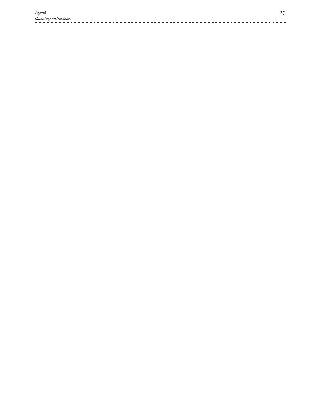| English   |  |
|-----------|--|
| Operating |  |
|           |  |